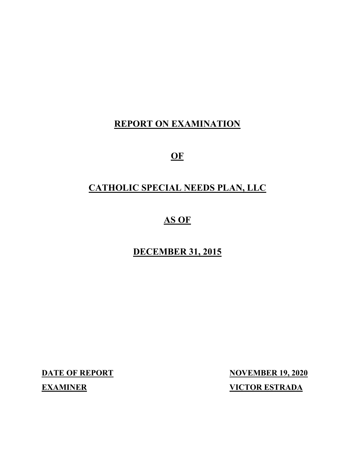# **REPORT ON EXAMINATION**

**OF**

# **CATHOLIC SPECIAL NEEDS PLAN, LLC**

# **AS OF**

# **DECEMBER 31, 2015**

**DATE OF REPORT NOVEMBER 19, 2020 EXAMINER VICTOR ESTRADA**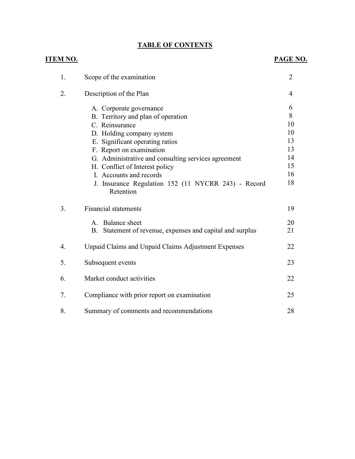# **TABLE OF CONTENTS**

| <u>ITEM NO.</u> |                                                                     | <b>PAGE NO.</b> |
|-----------------|---------------------------------------------------------------------|-----------------|
| 1.              | Scope of the examination                                            | $\overline{2}$  |
| 2.              | Description of the Plan                                             | 4               |
|                 | A. Corporate governance                                             | 6               |
|                 | B. Territory and plan of operation                                  | 8               |
|                 | C. Reinsurance                                                      | 10              |
|                 | D. Holding company system                                           | 10              |
|                 | E. Significant operating ratios                                     | 13              |
|                 | F. Report on examination                                            | 13              |
|                 | G. Administrative and consulting services agreement                 | 14              |
|                 | H. Conflict of Interest policy                                      | 15              |
|                 | I. Accounts and records                                             | 16              |
|                 | J. Insurance Regulation 152 (11 NYCRR 243) - Record<br>Retention    | 18              |
| 3.              | <b>Financial statements</b>                                         | 19              |
|                 | A. Balance sheet                                                    | 20              |
|                 | Statement of revenue, expenses and capital and surplus<br><b>B.</b> | 21              |
|                 |                                                                     |                 |
| 4.              | Unpaid Claims and Unpaid Claims Adjustment Expenses                 | 22              |
| 5.              | Subsequent events                                                   | 23              |
| 6.              | Market conduct activities                                           | 22              |
|                 |                                                                     |                 |
| 7.              | Compliance with prior report on examination                         | 25              |
| 8.              | Summary of comments and recommendations                             | 28              |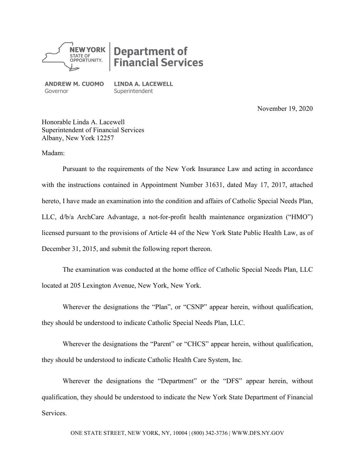

# **Department of Financial Services**

**ANDREW M. CUOMO** Governor

**LINDA A. LACEWELL Superintendent** 

November 19, 2020

Honorable Linda A. Lacewell Superintendent of Financial Services Albany, New York 12257

Madam:

Pursuant to the requirements of the New York Insurance Law and acting in accordance with the instructions contained in Appointment Number 31631, dated May 17, 2017, attached hereto, I have made an examination into the condition and affairs of Catholic Special Needs Plan, LLC, d/b/a ArchCare Advantage, a not-for-profit health maintenance organization ("HMO") licensed pursuant to the provisions of Article 44 of the New York State Public Health Law, as of December 31, 2015, and submit the following report thereon.

The examination was conducted at the home office of Catholic Special Needs Plan, LLC located at 205 Lexington Avenue, New York, New York.

Wherever the designations the "Plan", or "CSNP" appear herein, without qualification, they should be understood to indicate Catholic Special Needs Plan, LLC.

Wherever the designations the "Parent" or "CHCS" appear herein, without qualification, they should be understood to indicate Catholic Health Care System, Inc.

Wherever the designations the "Department" or the "DFS" appear herein, without qualification, they should be understood to indicate the New York State Department of Financial Services.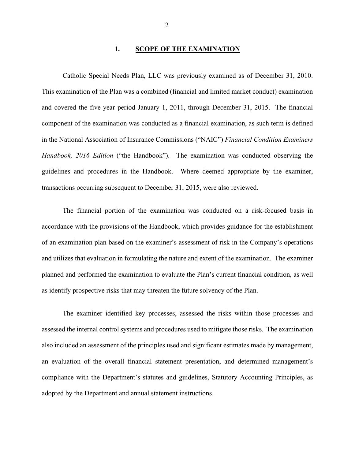#### **1. SCOPE OF THE EXAMINATION**

Catholic Special Needs Plan, LLC was previously examined as of December 31, 2010. This examination of the Plan was a combined (financial and limited market conduct) examination and covered the five-year period January 1, 2011, through December 31, 2015. The financial component of the examination was conducted as a financial examination, as such term is defined in the National Association of Insurance Commissions ("NAIC") *Financial Condition Examiners Handbook, 2016 Edition* ("the Handbook"). The examination was conducted observing the guidelines and procedures in the Handbook. Where deemed appropriate by the examiner, transactions occurring subsequent to December 31, 2015, were also reviewed.

The financial portion of the examination was conducted on a risk-focused basis in accordance with the provisions of the Handbook, which provides guidance for the establishment of an examination plan based on the examiner's assessment of risk in the Company's operations and utilizes that evaluation in formulating the nature and extent of the examination. The examiner planned and performed the examination to evaluate the Plan's current financial condition, as well as identify prospective risks that may threaten the future solvency of the Plan.

The examiner identified key processes, assessed the risks within those processes and assessed the internal control systems and procedures used to mitigate those risks. The examination also included an assessment of the principles used and significant estimates made by management, an evaluation of the overall financial statement presentation, and determined management's compliance with the Department's statutes and guidelines, Statutory Accounting Principles, as adopted by the Department and annual statement instructions.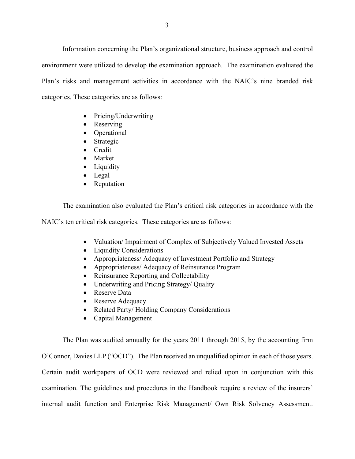Information concerning the Plan's organizational structure, business approach and control environment were utilized to develop the examination approach. The examination evaluated the Plan's risks and management activities in accordance with the NAIC's nine branded risk categories. These categories are as follows:

- Pricing/Underwriting
- Reserving
- Operational
- Strategic
- Credit
- Market
- Liquidity
- Legal
- Reputation

The examination also evaluated the Plan's critical risk categories in accordance with the

NAIC's ten critical risk categories. These categories are as follows:

- Valuation/ Impairment of Complex of Subjectively Valued Invested Assets
- Liquidity Considerations
- Appropriateness/ Adequacy of Investment Portfolio and Strategy
- Appropriateness/ Adequacy of Reinsurance Program
- Reinsurance Reporting and Collectability
- Underwriting and Pricing Strategy/ Quality
- Reserve Data
- Reserve Adequacy
- Related Party/ Holding Company Considerations
- Capital Management

The Plan was audited annually for the years 2011 through 2015, by the accounting firm O'Connor, Davies LLP ("OCD"). The Plan received an unqualified opinion in each of those years. Certain audit workpapers of OCD were reviewed and relied upon in conjunction with this examination. The guidelines and procedures in the Handbook require a review of the insurers' internal audit function and Enterprise Risk Management/ Own Risk Solvency Assessment.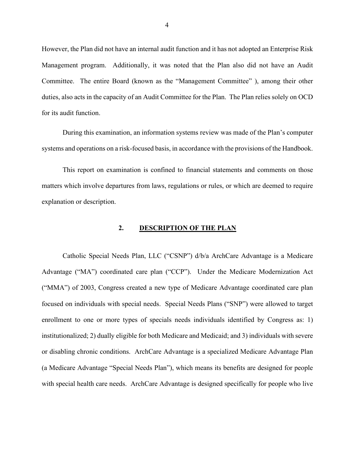However, the Plan did not have an internal audit function and it has not adopted an Enterprise Risk Management program. Additionally, it was noted that the Plan also did not have an Audit Committee. The entire Board (known as the "Management Committee" ), among their other duties, also acts in the capacity of an Audit Committee for the Plan. The Plan relies solely on OCD for its audit function.

During this examination, an information systems review was made of the Plan's computer systems and operations on a risk-focused basis, in accordance with the provisions of the Handbook.

This report on examination is confined to financial statements and comments on those matters which involve departures from laws, regulations or rules, or which are deemed to require explanation or description.

#### **2. DESCRIPTION OF THE PLAN**

Catholic Special Needs Plan, LLC ("CSNP") d/b/a ArchCare Advantage is a Medicare Advantage ("MA") coordinated care plan ("CCP"). Under the Medicare Modernization Act ("MMA") of 2003, Congress created a new type of Medicare Advantage coordinated care plan focused on individuals with special needs. Special Needs Plans ("SNP") were allowed to target enrollment to one or more types of specials needs individuals identified by Congress as: 1) institutionalized; 2) dually eligible for both Medicare and Medicaid; and 3) individuals with severe or disabling chronic conditions. ArchCare Advantage is a specialized Medicare Advantage Plan (a Medicare Advantage "Special Needs Plan"), which means its benefits are designed for people with special health care needs. ArchCare Advantage is designed specifically for people who live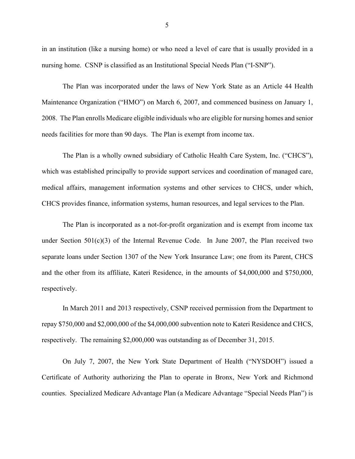in an institution (like a nursing home) or who need a level of care that is usually provided in a nursing home. CSNP is classified as an Institutional Special Needs Plan ("I-SNP").

The Plan was incorporated under the laws of New York State as an Article 44 Health Maintenance Organization ("HMO") on March 6, 2007, and commenced business on January 1, 2008. The Plan enrolls Medicare eligible individuals who are eligible for nursing homes and senior needs facilities for more than 90 days. The Plan is exempt from income tax.

The Plan is a wholly owned subsidiary of Catholic Health Care System, Inc. ("CHCS"), which was established principally to provide support services and coordination of managed care, medical affairs, management information systems and other services to CHCS, under which, CHCS provides finance, information systems, human resources, and legal services to the Plan.

The Plan is incorporated as a not-for-profit organization and is exempt from income tax under Section  $501(c)(3)$  of the Internal Revenue Code. In June 2007, the Plan received two separate loans under Section 1307 of the New York Insurance Law; one from its Parent, CHCS and the other from its affiliate, Kateri Residence, in the amounts of \$4,000,000 and \$750,000, respectively.

In March 2011 and 2013 respectively, CSNP received permission from the Department to repay \$750,000 and \$2,000,000 of the \$4,000,000 subvention note to Kateri Residence and CHCS, respectively. The remaining \$2,000,000 was outstanding as of December 31, 2015.

On July 7, 2007, the New York State Department of Health ("NYSDOH") issued a Certificate of Authority authorizing the Plan to operate in Bronx, New York and Richmond counties. Specialized Medicare Advantage Plan (a Medicare Advantage "Special Needs Plan") is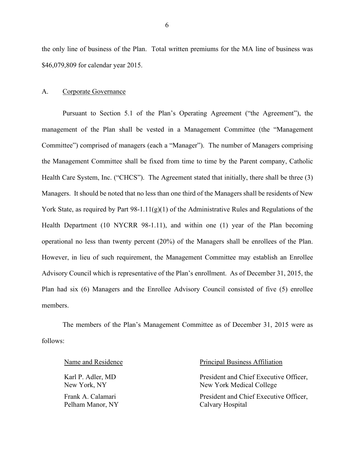the only line of business of the Plan. Total written premiums for the MA line of business was \$46,079,809 for calendar year 2015.

#### A. Corporate Governance

Pursuant to Section 5.1 of the Plan's Operating Agreement ("the Agreement"), the management of the Plan shall be vested in a Management Committee (the "Management Committee") comprised of managers (each a "Manager"). The number of Managers comprising the Management Committee shall be fixed from time to time by the Parent company, Catholic Health Care System, Inc. ("CHCS"). The Agreement stated that initially, there shall be three (3) Managers. It should be noted that no less than one third of the Managers shall be residents of New York State, as required by Part  $98-1.11(g)(1)$  of the Administrative Rules and Regulations of the Health Department (10 NYCRR 98-1.11), and within one (1) year of the Plan becoming operational no less than twenty percent (20%) of the Managers shall be enrollees of the Plan. However, in lieu of such requirement, the Management Committee may establish an Enrollee Advisory Council which is representative of the Plan's enrollment. As of December 31, 2015, the Plan had six (6) Managers and the Enrollee Advisory Council consisted of five (5) enrollee members.

The members of the Plan's Management Committee as of December 31, 2015 were as follows:

Karl P. Adler, MD New York, NY Frank A. Calamari Pelham Manor, NY

#### Name and Residence The Principal Business Affiliation

President and Chief Executive Officer, New York Medical College President and Chief Executive Officer, Calvary Hospital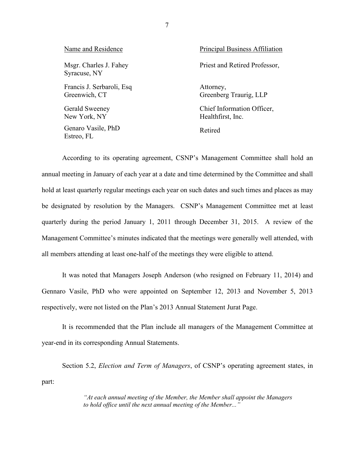| Name and Residence                         | <b>Principal Business Affiliation</b>           |
|--------------------------------------------|-------------------------------------------------|
| Msgr. Charles J. Fahey<br>Syracuse, NY     | Priest and Retired Professor,                   |
| Francis J. Serbaroli, Esq<br>Greenwich, CT | Attorney,<br>Greenberg Traurig, LLP             |
| Gerald Sweeney<br>New York, NY             | Chief Information Officer,<br>Healthfirst, Inc. |
| Genaro Vasile, PhD<br>Estreo, FL           | Retired                                         |

According to its operating agreement, CSNP's Management Committee shall hold an annual meeting in January of each year at a date and time determined by the Committee and shall hold at least quarterly regular meetings each year on such dates and such times and places as may be designated by resolution by the Managers. CSNP's Management Committee met at least quarterly during the period January 1, 2011 through December 31, 2015. A review of the Management Committee's minutes indicated that the meetings were generally well attended, with all members attending at least one-half of the meetings they were eligible to attend.

It was noted that Managers Joseph Anderson (who resigned on February 11, 2014) and Gennaro Vasile, PhD who were appointed on September 12, 2013 and November 5, 2013 respectively, were not listed on the Plan's 2013 Annual Statement Jurat Page.

It is recommended that the Plan include all managers of the Management Committee at year-end in its corresponding Annual Statements.

Section 5.2, *Election and Term of Managers*, of CSNP's operating agreement states, in part:

> *"At each annual meeting of the Member, the Member shall appoint the Managers to hold office until the next annual meeting of the Member..."*

7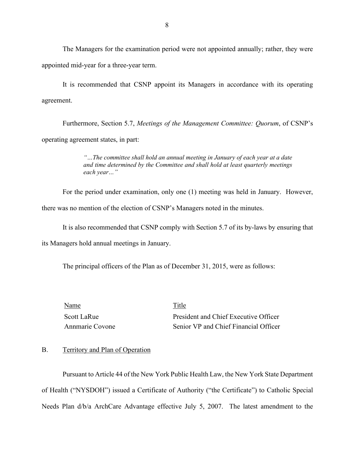The Managers for the examination period were not appointed annually; rather, they were appointed mid-year for a three-year term.

It is recommended that CSNP appoint its Managers in accordance with its operating agreement.

Furthermore, Section 5.7, *Meetings of the Management Committee: Quorum*, of CSNP's operating agreement states, in part:

> *"…The committee shall hold an annual meeting in January of each year at a date and time determined by the Committee and shall hold at least quarterly meetings each year…"*

For the period under examination, only one (1) meeting was held in January. However, there was no mention of the election of CSNP's Managers noted in the minutes.

It is also recommended that CSNP comply with Section 5.7 of its by-laws by ensuring that

its Managers hold annual meetings in January.

The principal officers of the Plan as of December 31, 2015, were as follows:

| Name            | Title                                 |
|-----------------|---------------------------------------|
| Scott LaRue     | President and Chief Executive Officer |
| Annmarie Covone | Senior VP and Chief Financial Officer |

#### B. Territory and Plan of Operation

Pursuant to Article 44 of the New York Public Health Law, the New York State Department of Health ("NYSDOH") issued a Certificate of Authority ("the Certificate") to Catholic Special Needs Plan d/b/a ArchCare Advantage effective July 5, 2007. The latest amendment to the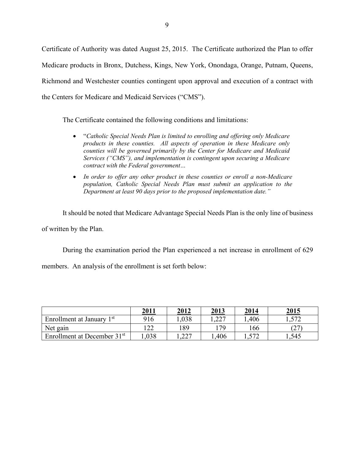Certificate of Authority was dated August 25, 2015. The Certificate authorized the Plan to offer Medicare products in Bronx, Dutchess, Kings, New York, Onondaga, Orange, Putnam, Queens, Richmond and Westchester counties contingent upon approval and execution of a contract with the Centers for Medicare and Medicaid Services ("CMS").

The Certificate contained the following conditions and limitations:

- "*Catholic Special Needs Plan is limited to enrolling and offering only Medicare products in these counties. All aspects of operation in these Medicare only counties will be governed primarily by the Center for Medicare and Medicaid Services ("CMS"), and implementation is contingent upon securing a Medicare contract with the Federal government…*
- *In order to offer any other product in these counties or enroll a non-Medicare population, Catholic Special Needs Plan must submit an application to the Department at least 90 days prior to the proposed implementation date."*

It should be noted that Medicare Advantage Special Needs Plan is the only line of business of written by the Plan.

During the examination period the Plan experienced a net increase in enrollment of 629

members. An analysis of the enrollment is set forth below:

|                                         | 2011  | 2012         | 2013  | 2014         | 2015   |
|-----------------------------------------|-------|--------------|-------|--------------|--------|
| Enrollment at January 1 <sup>st</sup>   | 916   | 1,038        | 1,227 | .406         | 572    |
| Net gain                                | ר רו  | 189          | 179   | 166          | (27)   |
| Enrollment at December 31 <sup>st</sup> | 0.038 | າາາ<br>$-44$ | ,406  | $57^{\circ}$ | 545. ا |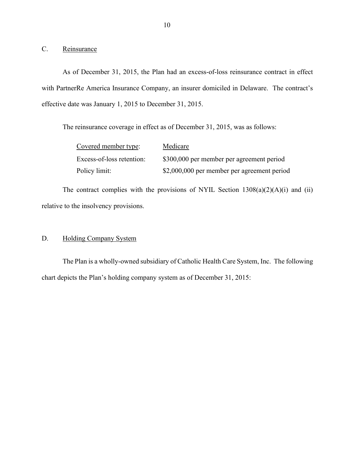C. Reinsurance

As of December 31, 2015, the Plan had an excess-of-loss reinsurance contract in effect with PartnerRe America Insurance Company, an insurer domiciled in Delaware. The contract's effective date was January 1, 2015 to December 31, 2015.

The reinsurance coverage in effect as of December 31, 2015, was as follows:

| Covered member type:      | Medicare                                    |
|---------------------------|---------------------------------------------|
| Excess-of-loss retention: | \$300,000 per member per agreement period   |
| Policy limit:             | \$2,000,000 per member per agreement period |

The contract complies with the provisions of NYIL Section  $1308(a)(2)(A)(i)$  and (ii) relative to the insolvency provisions.

## D. Holding Company System

The Plan is a wholly-owned subsidiary of Catholic Health Care System, Inc. The following chart depicts the Plan's holding company system as of December 31, 2015: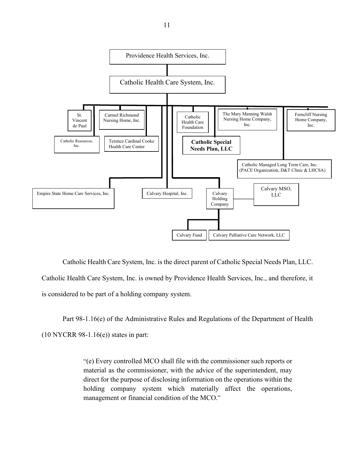

Catholic Health Care System, Inc. is the direct parent of Catholic Special Needs Plan, LLC. Catholic Health Care System, Inc. is owned by Providence Health Services, Inc., and therefore, it is considered to be part of a holding company system.

Part 98-1.16(e) of the Administrative Rules and Regulations of the Department of Health  $(10 NYCRR 98-1.16(e))$  states in part:

> "(e) Every controlled MCO shall file with the commissioner such reports or material as the commissioner, with the advice of the superintendent, may direct for the purpose of disclosing information on the operations within the holding company system which materially affect the operations, management or financial condition of the MCO."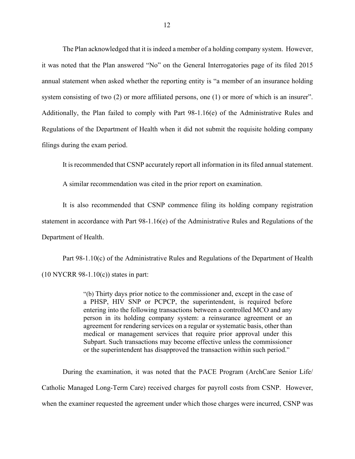The Plan acknowledged that it is indeed a member of a holding company system. However, it was noted that the Plan answered "No" on the General Interrogatories page of its filed 2015 annual statement when asked whether the reporting entity is "a member of an insurance holding system consisting of two (2) or more affiliated persons, one (1) or more of which is an insurer". Additionally, the Plan failed to comply with Part 98-1.16(e) of the Administrative Rules and Regulations of the Department of Health when it did not submit the requisite holding company filings during the exam period.

It is recommended that CSNP accurately report all information in its filed annual statement.

A similar recommendation was cited in the prior report on examination.

It is also recommended that CSNP commence filing its holding company registration statement in accordance with Part 98-1.16(e) of the Administrative Rules and Regulations of the Department of Health.

Part 98-1.10(c) of the Administrative Rules and Regulations of the Department of Health  $(10 NYCRR 98-1.10(c))$  states in part:

> "(b) Thirty days prior notice to the commissioner and, except in the case of a PHSP, HIV SNP or PCPCP, the superintendent, is required before entering into the following transactions between a controlled MCO and any person in its holding company system: a reinsurance agreement or an agreement for rendering services on a regular or systematic basis, other than medical or management services that require prior approval under this Subpart. Such transactions may become effective unless the commissioner or the superintendent has disapproved the transaction within such period."

During the examination, it was noted that the PACE Program (ArchCare Senior Life/ Catholic Managed Long-Term Care) received charges for payroll costs from CSNP. However, when the examiner requested the agreement under which those charges were incurred, CSNP was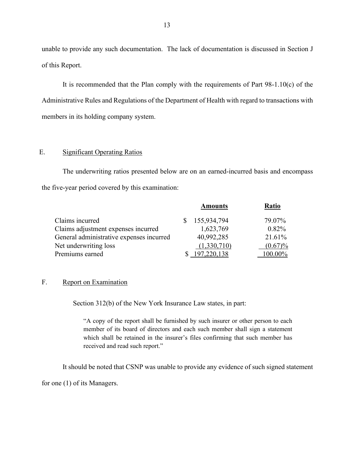unable to provide any such documentation. The lack of documentation is discussed in Section J of this Report.

It is recommended that the Plan comply with the requirements of Part 98-1.10(c) of the Administrative Rules and Regulations of the Department of Health with regard to transactions with members in its holding company system.

#### E. Significant Operating Ratios

The underwriting ratios presented below are on an earned-incurred basis and encompass the five-year period covered by this examination:

|                                          | <b>Amounts</b> | <b>Ratio</b> |
|------------------------------------------|----------------|--------------|
| Claims incurred                          | \$155,934,794  | 79.07%       |
| Claims adjustment expenses incurred      | 1,623,769      | 0.82%        |
| General administrative expenses incurred | 40,992,285     | 21.61%       |
| Net underwriting loss                    | (1,330,710)    | $(0.67)\%$   |
| Premiums earned                          | 197,220,138    | 100.00%      |

### F. Report on Examination

Section 312(b) of the New York Insurance Law states, in part:

"A copy of the report shall be furnished by such insurer or other person to each member of its board of directors and each such member shall sign a statement which shall be retained in the insurer's files confirming that such member has received and read such report."

It should be noted that CSNP was unable to provide any evidence of such signed statement

for one (1) of its Managers.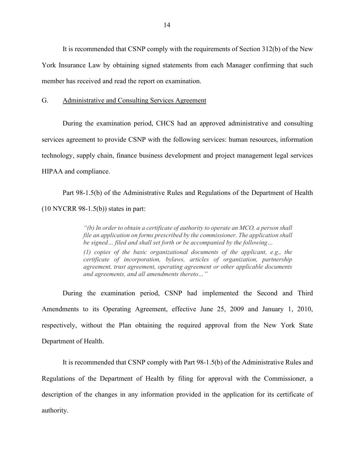It is recommended that CSNP comply with the requirements of Section 312(b) of the New York Insurance Law by obtaining signed statements from each Manager confirming that such member has received and read the report on examination.

#### G. Administrative and Consulting Services Agreement

During the examination period, CHCS had an approved administrative and consulting services agreement to provide CSNP with the following services: human resources, information technology, supply chain, finance business development and project management legal services HIPAA and compliance.

Part 98-1.5(b) of the Administrative Rules and Regulations of the Department of Health (10 NYCRR 98-1.5(b)) states in part:

> *"(b) In order to obtain a certificate of authority to operate an MCO, a person shall file an application on forms prescribed by the commissioner. The application shall be signed… filed and shall set forth or be accompanied by the following…*

> *(1) copies of the basic organizational documents of the applicant, e.g., the certificate of incorporation, bylaws, articles of organization, partnership agreement, trust agreement, operating agreement or other applicable documents and agreements, and all amendments thereto…"*

During the examination period, CSNP had implemented the Second and Third Amendments to its Operating Agreement, effective June 25, 2009 and January 1, 2010, respectively, without the Plan obtaining the required approval from the New York State Department of Health.

It is recommended that CSNP comply with Part 98-1.5(b) of the Administrative Rules and Regulations of the Department of Health by filing for approval with the Commissioner, a description of the changes in any information provided in the application for its certificate of authority.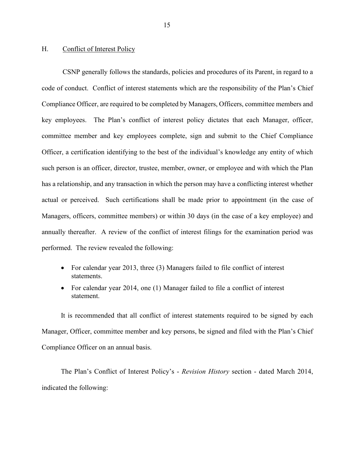#### H. Conflict of Interest Policy

CSNP generally follows the standards, policies and procedures of its Parent, in regard to a code of conduct. Conflict of interest statements which are the responsibility of the Plan's Chief Compliance Officer, are required to be completed by Managers, Officers, committee members and key employees. The Plan's conflict of interest policy dictates that each Manager, officer, committee member and key employees complete, sign and submit to the Chief Compliance Officer, a certification identifying to the best of the individual's knowledge any entity of which such person is an officer, director, trustee, member, owner, or employee and with which the Plan has a relationship, and any transaction in which the person may have a conflicting interest whether actual or perceived. Such certifications shall be made prior to appointment (in the case of Managers, officers, committee members) or within 30 days (in the case of a key employee) and annually thereafter. A review of the conflict of interest filings for the examination period was performed. The review revealed the following:

- For calendar year 2013, three (3) Managers failed to file conflict of interest statements.
- For calendar year 2014, one (1) Manager failed to file a conflict of interest statement.

It is recommended that all conflict of interest statements required to be signed by each Manager, Officer, committee member and key persons, be signed and filed with the Plan's Chief Compliance Officer on an annual basis.

The Plan's Conflict of Interest Policy's - *Revision History* section - dated March 2014, indicated the following: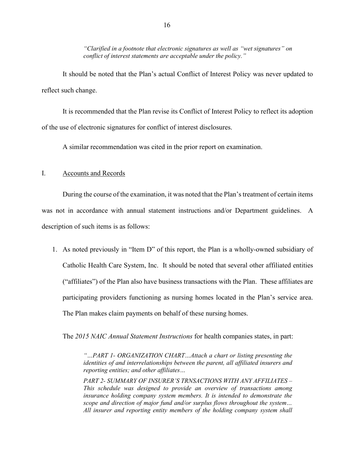*"Clarified in a footnote that electronic signatures as well as "wet signatures" on conflict of interest statements are acceptable under the policy."*

It should be noted that the Plan's actual Conflict of Interest Policy was never updated to reflect such change.

It is recommended that the Plan revise its Conflict of Interest Policy to reflect its adoption of the use of electronic signatures for conflict of interest disclosures.

A similar recommendation was cited in the prior report on examination.

#### I. Accounts and Records

During the course of the examination, it was noted that the Plan's treatment of certain items was not in accordance with annual statement instructions and/or Department guidelines. A description of such items is as follows:

1. As noted previously in "Item D" of this report, the Plan is a wholly-owned subsidiary of Catholic Health Care System, Inc. It should be noted that several other affiliated entities ("affiliates") of the Plan also have business transactions with the Plan. These affiliates are participating providers functioning as nursing homes located in the Plan's service area. The Plan makes claim payments on behalf of these nursing homes.

The *2015 NAIC Annual Statement Instructions* for health companies states, in part:

*"…PART 1- ORGANIZATION CHART…Attach a chart or listing presenting the identities of and interrelationships between the parent, all affiliated insurers and reporting entities; and other affiliates…*

*PART 2- SUMMARY OF INSURER'S TRNSACTIONS WITH ANY AFFILIATES – This schedule was designed to provide an overview of transactions among insurance holding company system members. It is intended to demonstrate the scope and direction of major fund and/or surplus flows throughout the system… All insurer and reporting entity members of the holding company system shall*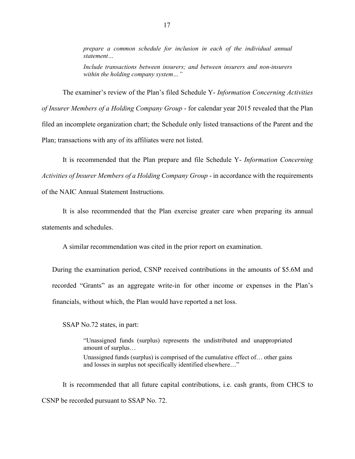*prepare a common schedule for inclusion in each of the individual annual statement…*

*Include transactions between insurers; and between insurers and non-insurers within the holding company system…"*

The examiner's review of the Plan's filed Schedule Y- *Information Concerning Activities of Insurer Members of a Holding Company Group* - for calendar year 2015 revealed that the Plan filed an incomplete organization chart; the Schedule only listed transactions of the Parent and the Plan; transactions with any of its affiliates were not listed.

It is recommended that the Plan prepare and file Schedule Y- *Information Concerning Activities of Insurer Members of a Holding Company Group* - in accordance with the requirements of the NAIC Annual Statement Instructions.

It is also recommended that the Plan exercise greater care when preparing its annual statements and schedules.

A similar recommendation was cited in the prior report on examination.

During the examination period, CSNP received contributions in the amounts of \$5.6M and recorded "Grants" as an aggregate write-in for other income or expenses in the Plan's financials, without which, the Plan would have reported a net loss.

SSAP No.72 states, in part:

"Unassigned funds (surplus) represents the undistributed and unappropriated amount of surplus… Unassigned funds (surplus) is comprised of the cumulative effect of… other gains and losses in surplus not specifically identified elsewhere…"

It is recommended that all future capital contributions, i.e. cash grants, from CHCS to CSNP be recorded pursuant to SSAP No. 72.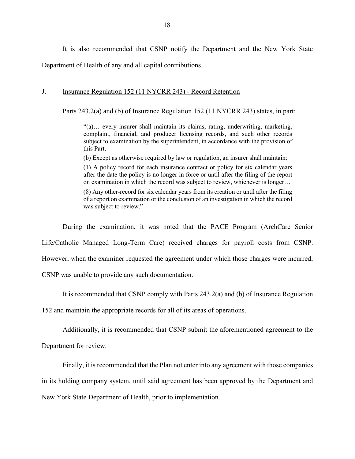It is also recommended that CSNP notify the Department and the New York State Department of Health of any and all capital contributions.

### J. **Insurance Regulation 152 (11 NYCRR 243) - Record Retention**

Parts 243.2(a) and (b) of Insurance Regulation 152 (11 NYCRR 243) states, in part:

"(a)… every insurer shall maintain its claims, rating, underwriting, marketing, complaint, financial, and producer licensing records, and such other records subject to examination by the superintendent, in accordance with the provision of this Part.

(b) Except as otherwise required by law or regulation, an insurer shall maintain:

(1) A policy record for each insurance contract or policy for six calendar years after the date the policy is no longer in force or until after the filing of the report on examination in which the record was subject to review, whichever is longer…

(8) Any other-record for six calendar years from its creation or until after the filing of a report on examination or the conclusion of an investigation in which the record was subject to review."

During the examination, it was noted that the PACE Program (ArchCare Senior Life/Catholic Managed Long-Term Care) received charges for payroll costs from CSNP. However, when the examiner requested the agreement under which those charges were incurred, CSNP was unable to provide any such documentation.

It is recommended that CSNP comply with Parts 243.2(a) and (b) of Insurance Regulation

152 and maintain the appropriate records for all of its areas of operations.

Additionally, it is recommended that CSNP submit the aforementioned agreement to the

Department for review.

Finally, it is recommended that the Plan not enter into any agreement with those companies in its holding company system, until said agreement has been approved by the Department and New York State Department of Health, prior to implementation.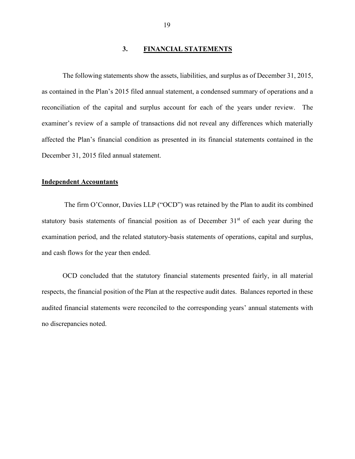## **3. FINANCIAL STATEMENTS**

The following statements show the assets, liabilities, and surplus as of December 31, 2015, as contained in the Plan's 2015 filed annual statement, a condensed summary of operations and a reconciliation of the capital and surplus account for each of the years under review. The examiner's review of a sample of transactions did not reveal any differences which materially affected the Plan's financial condition as presented in its financial statements contained in the December 31, 2015 filed annual statement.

#### **Independent Accountants**

The firm O'Connor, Davies LLP ("OCD") was retained by the Plan to audit its combined statutory basis statements of financial position as of December  $31<sup>st</sup>$  of each year during the examination period, and the related statutory-basis statements of operations, capital and surplus, and cash flows for the year then ended.

OCD concluded that the statutory financial statements presented fairly, in all material respects, the financial position of the Plan at the respective audit dates. Balances reported in these audited financial statements were reconciled to the corresponding years' annual statements with no discrepancies noted.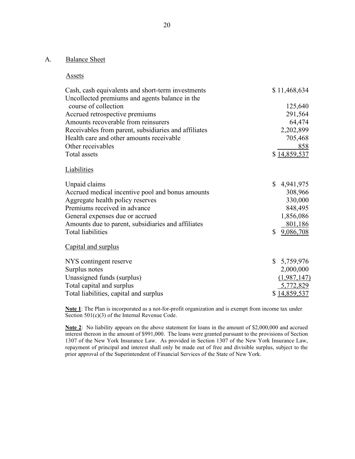## A. Balance Sheet

#### **Assets**

| Cash, cash equivalents and short-term investments    | \$11,468,634    |
|------------------------------------------------------|-----------------|
| Uncollected premiums and agents balance in the       |                 |
| course of collection                                 | 125,640         |
| Accrued retrospective premiums                       | 291,564         |
| Amounts recoverable from reinsurers                  | 64,474          |
| Receivables from parent, subsidiaries and affiliates | 2,202,899       |
| Health care and other amounts receivable             | 705,468         |
| Other receivables                                    | 858             |
| Total assets                                         | \$14,859,537    |
| Liabilities                                          |                 |
| Unpaid claims                                        | \$<br>4,941,975 |
| Accrued medical incentive pool and bonus amounts     | 308,966         |
| Aggregate health policy reserves                     | 330,000         |
| Premiums received in advance                         | 848,495         |
| General expenses due or accrued                      | 1,856,086       |
| Amounts due to parent, subsidiaries and affiliates   | 801,186         |
| Total liabilities                                    | \$<br>9,086,708 |
| Capital and surplus                                  |                 |
| NYS contingent reserve                               | \$5,759,976     |
| Surplus notes                                        | 2,000,000       |
| Unassigned funds (surplus)                           | (1,987,147)     |
| Total capital and surplus                            | 5,772,829       |
| Total liabilities, capital and surplus               | \$14,859,537    |

**Note 1**: The Plan is incorporated as a not-for-profit organization and is exempt from income tax under Section 501(c)(3) of the Internal Revenue Code.

**Note 2**: No liability appears on the above statement for loans in the amount of \$2,000,000 and accrued interest thereon in the amount of \$991,000. The loans were granted pursuant to the provisions of Section 1307 of the New York Insurance Law. As provided in Section 1307 of the New York Insurance Law, repayment of principal and interest shall only be made out of free and divisible surplus, subject to the prior approval of the Superintendent of Financial Services of the State of New York.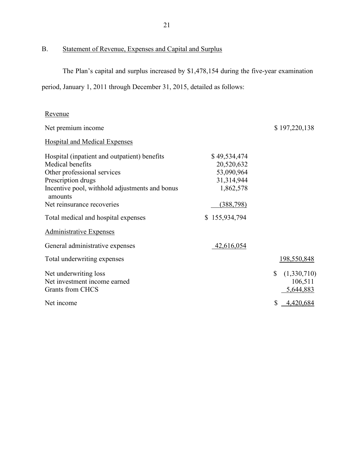B. Statement of Revenue, Expenses and Capital and Surplus

The Plan's capital and surplus increased by \$1,478,154 during the five-year examination

period, January 1, 2011 through December 31, 2015, detailed as follows:

| <u>Revenue</u>                                            |               |                   |
|-----------------------------------------------------------|---------------|-------------------|
| Net premium income                                        |               | \$197,220,138     |
| <b>Hospital and Medical Expenses</b>                      |               |                   |
| Hospital (inpatient and outpatient) benefits              | \$49,534,474  |                   |
| Medical benefits                                          | 20,520,632    |                   |
| Other professional services                               | 53,090,964    |                   |
| Prescription drugs                                        | 31,314,944    |                   |
| Incentive pool, withhold adjustments and bonus<br>amounts | 1,862,578     |                   |
| Net reinsurance recoveries                                | (388, 798)    |                   |
| Total medical and hospital expenses                       | \$155,934,794 |                   |
| <b>Administrative Expenses</b>                            |               |                   |
| General administrative expenses                           | 42,616,054    |                   |
| Total underwriting expenses                               |               | 198,550,848       |
| Net underwriting loss                                     |               | \$<br>(1,330,710) |
| Net investment income earned                              |               | 106,511           |
| Grants from CHCS                                          |               | 5,644,883         |
| Net income                                                |               | \$4,420,684       |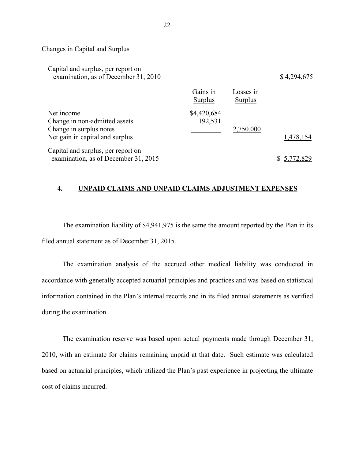#### Changes in Capital and Surplus

| Capital and surplus, per report on   |          |           |             |
|--------------------------------------|----------|-----------|-------------|
| examination, as of December 31, 2010 |          |           | \$4,294,675 |
|                                      | Gains in | Losses in |             |

|                                                                                                           | Surplus                | Surplus   |             |
|-----------------------------------------------------------------------------------------------------------|------------------------|-----------|-------------|
| Net income<br>Change in non-admitted assets<br>Change in surplus notes<br>Net gain in capital and surplus | \$4,420,684<br>192,531 | 2,750,000 | 1,478,154   |
| Capital and surplus, per report on<br>examination, as of December 31, 2015                                |                        |           | \$5,772,829 |

#### **4. UNPAID CLAIMS AND UNPAID CLAIMS ADJUSTMENT EXPENSES**

The examination liability of \$4,941,975 is the same the amount reported by the Plan in its filed annual statement as of December 31, 2015.

The examination analysis of the accrued other medical liability was conducted in accordance with generally accepted actuarial principles and practices and was based on statistical information contained in the Plan's internal records and in its filed annual statements as verified during the examination.

The examination reserve was based upon actual payments made through December 31, 2010, with an estimate for claims remaining unpaid at that date. Such estimate was calculated based on actuarial principles, which utilized the Plan's past experience in projecting the ultimate cost of claims incurred.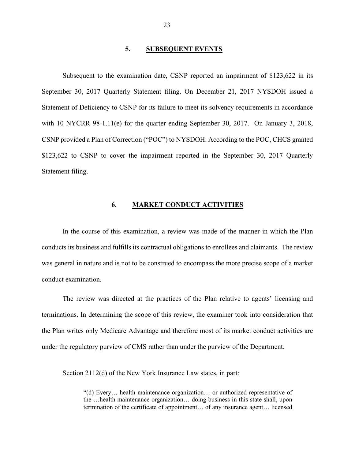#### **5. SUBSEQUENT EVENTS**

Subsequent to the examination date, CSNP reported an impairment of \$123,622 in its September 30, 2017 Quarterly Statement filing. On December 21, 2017 NYSDOH issued a Statement of Deficiency to CSNP for its failure to meet its solvency requirements in accordance with 10 NYCRR 98-1.11(e) for the quarter ending September 30, 2017. On January 3, 2018, CSNP provided a Plan of Correction ("POC") to NYSDOH. According to the POC, CHCS granted \$123,622 to CSNP to cover the impairment reported in the September 30, 2017 Quarterly Statement filing.

#### **6. MARKET CONDUCT ACTIVITIES**

In the course of this examination, a review was made of the manner in which the Plan conducts its business and fulfills its contractual obligations to enrollees and claimants. The review was general in nature and is not to be construed to encompass the more precise scope of a market conduct examination.

The review was directed at the practices of the Plan relative to agents' licensing and terminations. In determining the scope of this review, the examiner took into consideration that the Plan writes only Medicare Advantage and therefore most of its market conduct activities are under the regulatory purview of CMS rather than under the purview of the Department.

Section 2112(d) of the New York Insurance Law states, in part:

"(d) Every… health maintenance organization… or authorized representative of the …health maintenance organization… doing business in this state shall, upon termination of the certificate of appointment… of any insurance agent… licensed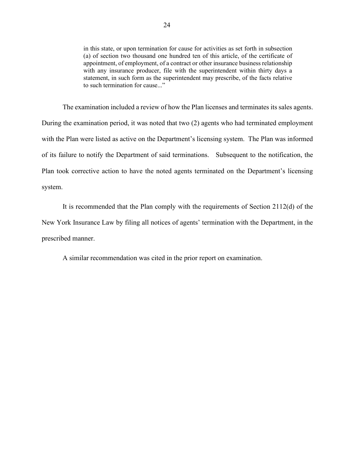in this state, or upon termination for cause for activities as set forth in subsection (a) of section two thousand one hundred ten of this article, of the certificate of appointment, of employment, of a contract or other insurance business relationship with any insurance producer, file with the superintendent within thirty days a statement, in such form as the superintendent may prescribe, of the facts relative to such termination for cause..."

The examination included a review of how the Plan licenses and terminates its sales agents. During the examination period, it was noted that two (2) agents who had terminated employment with the Plan were listed as active on the Department's licensing system. The Plan was informed of its failure to notify the Department of said terminations. Subsequent to the notification, the Plan took corrective action to have the noted agents terminated on the Department's licensing system.

It is recommended that the Plan comply with the requirements of Section 2112(d) of the New York Insurance Law by filing all notices of agents' termination with the Department, in the prescribed manner.

A similar recommendation was cited in the prior report on examination.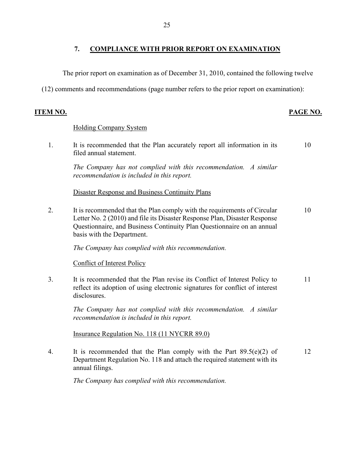The prior report on examination as of December 31, 2010, contained the following twelve

(12) comments and recommendations (page number refers to the prior report on examination):

## **ITEM NO. PAGE NO.**

### Holding Company System

1. It is recommended that the Plan accurately report all information in its filed annual statement. 10

*The Company has not complied with this recommendation. A similar recommendation is included in this report.*

Disaster Response and Business Continuity Plans

2. It is recommended that the Plan comply with the requirements of Circular Letter No. 2 (2010) and file its Disaster Response Plan, Disaster Response Questionnaire, and Business Continuity Plan Questionnaire on an annual basis with the Department. 10

*The Company has complied with this recommendation.*

Conflict of Interest Policy

3. It is recommended that the Plan revise its Conflict of Interest Policy to reflect its adoption of using electronic signatures for conflict of interest disclosures. 11

*The Company has not complied with this recommendation. A similar recommendation is included in this report.*

Insurance Regulation No. 118 (11 NYCRR 89.0)

4. It is recommended that the Plan comply with the Part 89.5(e)(2) of Department Regulation No. 118 and attach the required statement with its annual filings. 12

*The Company has complied with this recommendation.*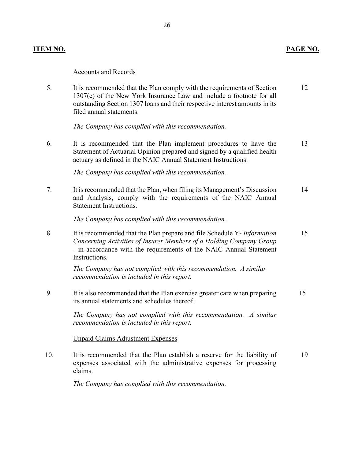# Accounts and Records

| 5.  | It is recommended that the Plan comply with the requirements of Section<br>1307(c) of the New York Insurance Law and include a footnote for all<br>outstanding Section 1307 loans and their respective interest amounts in its<br>filed annual statements. | 12 |
|-----|------------------------------------------------------------------------------------------------------------------------------------------------------------------------------------------------------------------------------------------------------------|----|
|     | The Company has complied with this recommendation.                                                                                                                                                                                                         |    |
| 6.  | It is recommended that the Plan implement procedures to have the<br>Statement of Actuarial Opinion prepared and signed by a qualified health<br>actuary as defined in the NAIC Annual Statement Instructions.                                              | 13 |
|     | The Company has complied with this recommendation.                                                                                                                                                                                                         |    |
| 7.  | It is recommended that the Plan, when filing its Management's Discussion<br>and Analysis, comply with the requirements of the NAIC Annual<br><b>Statement Instructions.</b>                                                                                | 14 |
|     | The Company has complied with this recommendation.                                                                                                                                                                                                         |    |
| 8.  | It is recommended that the Plan prepare and file Schedule Y- Information<br>Concerning Activities of Insurer Members of a Holding Company Group<br>- in accordance with the requirements of the NAIC Annual Statement<br>Instructions.                     | 15 |
|     | The Company has not complied with this recommendation. A similar<br>recommendation is included in this report.                                                                                                                                             |    |
| 9.  | It is also recommended that the Plan exercise greater care when preparing<br>its annual statements and schedules thereof.                                                                                                                                  | 15 |
|     | The Company has not complied with this recommendation. A similar<br>recommendation is included in this report.                                                                                                                                             |    |
|     | <b>Unpaid Claims Adjustment Expenses</b>                                                                                                                                                                                                                   |    |
| 10. | It is recommended that the Plan establish a reserve for the liability of<br>expenses associated with the administrative expenses for processing                                                                                                            | 19 |

*The Company has complied with this recommendation.*

claims.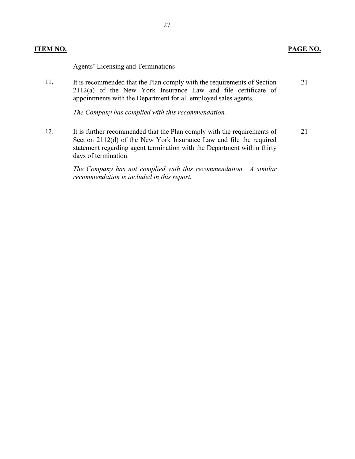### **ITEM NO. PAGE NO.**

#### Agents' Licensing and Terminations

11. It is recommended that the Plan comply with the requirements of Section 2112(a) of the New York Insurance Law and file certificate of appointments with the Department for all employed sales agents. 21

*The Company has complied with this recommendation.* 

12. It is further recommended that the Plan comply with the requirements of Section 2112(d) of the New York Insurance Law and file the required statement regarding agent termination with the Department within thirty days of termination.

> *The Company has not complied with this recommendation. A similar recommendation is included in this report.*

21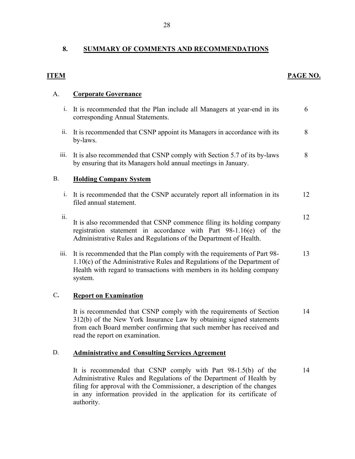# **8. SUMMARY OF COMMENTS AND RECOMMENDATIONS**

| <b>ITEM</b>    |                                                                                                                                                                                                                                                      | PAGE NO. |
|----------------|------------------------------------------------------------------------------------------------------------------------------------------------------------------------------------------------------------------------------------------------------|----------|
| A.             | <b>Corporate Governance</b>                                                                                                                                                                                                                          |          |
| 1.             | It is recommended that the Plan include all Managers at year-end in its<br>corresponding Annual Statements.                                                                                                                                          | 6        |
|                | ii. It is recommended that CSNP appoint its Managers in accordance with its<br>by-laws.                                                                                                                                                              | 8        |
| iii.           | It is also recommended that CSNP comply with Section 5.7 of its by-laws<br>by ensuring that its Managers hold annual meetings in January.                                                                                                            | 8        |
| <b>B.</b>      | <b>Holding Company System</b>                                                                                                                                                                                                                        |          |
|                | i. It is recommended that the CSNP accurately report all information in its<br>filed annual statement.                                                                                                                                               | 12       |
| ii.            | It is also recommended that CSNP commence filing its holding company<br>registration statement in accordance with Part 98-1.16(e) of the<br>Administrative Rules and Regulations of the Department of Health.                                        | 12       |
| iii.           | It is recommended that the Plan comply with the requirements of Part 98-<br>$1.10(c)$ of the Administrative Rules and Regulations of the Department of<br>Health with regard to transactions with members in its holding company<br>system.          | 13       |
| $\mathbf{C}$ . | <b>Report on Examination</b>                                                                                                                                                                                                                         |          |
|                | It is recommended that CSNP comply with the requirements of Section<br>312(b) of the New York Insurance Law by obtaining signed statements<br>from each Board member confirming that such member has received and<br>read the report on examination. | 14       |

# D. **Administrative and Consulting Services Agreement**

It is recommended that CSNP comply with Part 98-1.5(b) of the Administrative Rules and Regulations of the Department of Health by filing for approval with the Commissioner, a description of the changes in any information provided in the application for its certificate of authority. 14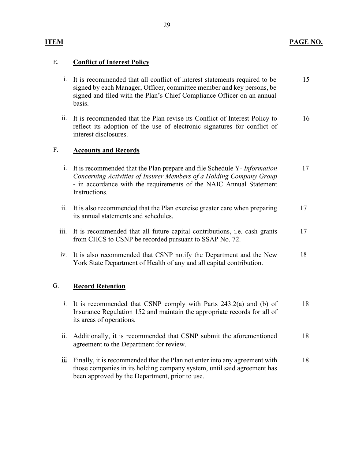# E. **Conflict of Interest Policy**

- i. It is recommended that all conflict of interest statements required to be signed by each Manager, Officer, committee member and key persons, be signed and filed with the Plan's Chief Compliance Officer on an annual basis. 15
- ii. It is recommended that the Plan revise its Conflict of Interest Policy to reflect its adoption of the use of electronic signatures for conflict of interest disclosures. 16

## F. **Accounts and Records**

- i. It is recommended that the Plan prepare and file Schedule Y- *Information Concerning Activities of Insurer Members of a Holding Company Group* **-** in accordance with the requirements of the NAIC Annual Statement Instructions. 17 ii. It is also recommended that the Plan exercise greater care when preparing its annual statements and schedules. 17
- iii. It is recommended that all future capital contributions, i.e. cash grants from CHCS to CSNP be recorded pursuant to SSAP No. 72. 17
- iv. It is also recommended that CSNP notify the Department and the New York State Department of Health of any and all capital contribution. 18

# G. **Record Retention**

- i. It is recommended that CSNP comply with Parts 243.2(a) and (b) of Insurance Regulation 152 and maintain the appropriate records for all of its areas of operations. 18
- ii. Additionally, it is recommended that CSNP submit the aforementioned agreement to the Department for review. 18
- $\frac{iii}{ii}$  Finally, it is recommended that the Plan not enter into any agreement with those companies in its holding company system, until said agreement has been approved by the Department, prior to use. 18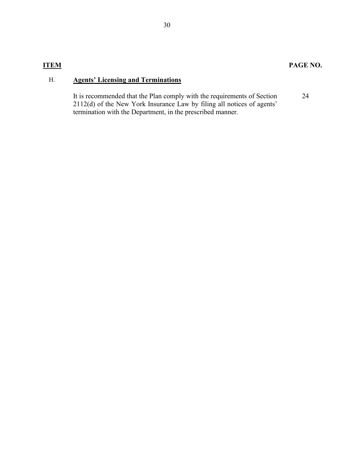# **ITEM PAGE NO.**

# H. **Agents' Licensing and Terminations**

It is recommended that the Plan comply with the requirements of Section 2112(d) of the New York Insurance Law by filing all notices of agents' termination with the Department, in the prescribed manner.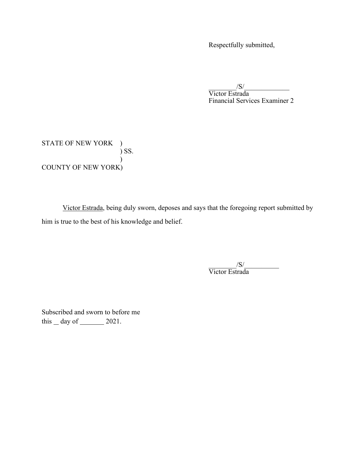Respectfully submitted,

 $\frac{S}{\text{Victor Estrada}}$ Financial Services Examiner 2

STATE OF NEW YORK )  $\int$  SS.  $\hspace{0.6cm}$ COUNTY OF NEW YORK)

Victor Estrada, being duly sworn, deposes and says that the foregoing report submitted by him is true to the best of his knowledge and belief.

 $\frac{{\rm \langle S \rangle}}{{\rm Victor\,Estrada}}$ 

Subscribed and sworn to before me this  $\_\,$  day of  $\_\_\_\_\$  2021.